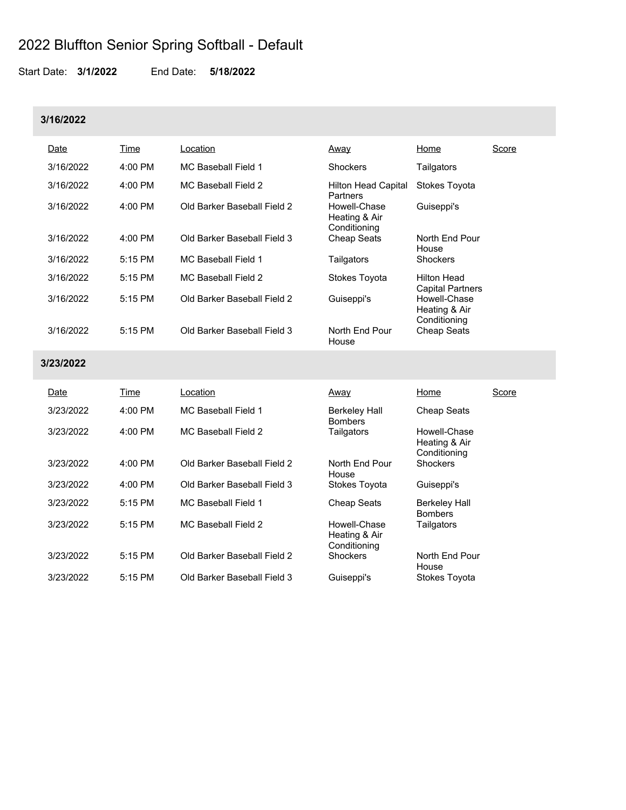Start Date: **3/1/2022** End Date: **5/18/2022**

### **3/16/2022**

| Date      | Time      | Location                    | Away                                          | Home                                          | Score |
|-----------|-----------|-----------------------------|-----------------------------------------------|-----------------------------------------------|-------|
| 3/16/2022 | $4:00$ PM | MC Baseball Field 1         | <b>Shockers</b>                               | Tailgators                                    |       |
| 3/16/2022 | $4:00$ PM | MC Baseball Field 2         | <b>Hilton Head Capital</b><br><b>Partners</b> | Stokes Toyota                                 |       |
| 3/16/2022 | $4:00$ PM | Old Barker Baseball Field 2 | Howell-Chase<br>Heating & Air<br>Conditioning | Guiseppi's                                    |       |
| 3/16/2022 | $4:00$ PM | Old Barker Baseball Field 3 | <b>Cheap Seats</b>                            | North End Pour<br>House                       |       |
| 3/16/2022 | $5:15$ PM | MC Baseball Field 1         | Tailgators                                    | <b>Shockers</b>                               |       |
| 3/16/2022 | $5:15$ PM | MC Baseball Field 2         | Stokes Toyota                                 | <b>Hilton Head</b><br><b>Capital Partners</b> |       |
| 3/16/2022 | $5:15$ PM | Old Barker Baseball Field 2 | Guiseppi's                                    | Howell-Chase<br>Heating & Air<br>Conditioning |       |
| 3/16/2022 | 5:15 PM   | Old Barker Baseball Field 3 | North End Pour<br>House                       | <b>Cheap Seats</b>                            |       |

### **3/23/2022**

| Date      | Time      | Location                    | Away                                          | Home                                          | Score |
|-----------|-----------|-----------------------------|-----------------------------------------------|-----------------------------------------------|-------|
| 3/23/2022 | $4:00$ PM | MC Baseball Field 1         | <b>Berkeley Hall</b><br><b>Bombers</b>        | <b>Cheap Seats</b>                            |       |
| 3/23/2022 | $4:00$ PM | MC Baseball Field 2         | Tailgators                                    | Howell-Chase<br>Heating & Air<br>Conditioning |       |
| 3/23/2022 | $4:00$ PM | Old Barker Baseball Field 2 | North End Pour<br>House                       | <b>Shockers</b>                               |       |
| 3/23/2022 | $4:00$ PM | Old Barker Baseball Field 3 | Stokes Toyota                                 | Guiseppi's                                    |       |
| 3/23/2022 | $5:15$ PM | MC Baseball Field 1         | Cheap Seats                                   | <b>Berkeley Hall</b><br><b>Bombers</b>        |       |
| 3/23/2022 | $5:15$ PM | MC Baseball Field 2         | Howell-Chase<br>Heating & Air<br>Conditioning | Tailgators                                    |       |
| 3/23/2022 | 5:15 PM   | Old Barker Baseball Field 2 | <b>Shockers</b>                               | North End Pour<br>House                       |       |
| 3/23/2022 | $5:15$ PM | Old Barker Baseball Field 3 | Guiseppi's                                    | Stokes Toyota                                 |       |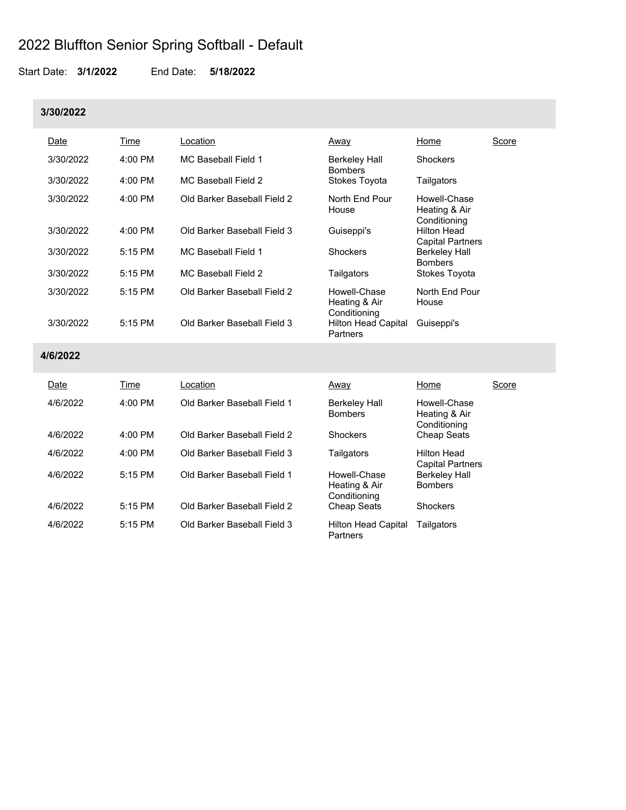Start Date: **3/1/2022** End Date: **5/18/2022**

#### **3/30/2022**

| Date      | Time      | _ocation                    | <u>Away</u>                                   | Home                                          | Score |
|-----------|-----------|-----------------------------|-----------------------------------------------|-----------------------------------------------|-------|
| 3/30/2022 | 4:00 PM   | MC Baseball Field 1         | Berkeley Hall<br><b>Bombers</b>               | Shockers                                      |       |
| 3/30/2022 | 4:00 PM   | MC Baseball Field 2         | Stokes Toyota                                 | Tailgators                                    |       |
| 3/30/2022 | 4:00 PM   | Old Barker Baseball Field 2 | North End Pour<br>House                       | Howell-Chase<br>Heating & Air<br>Conditioning |       |
| 3/30/2022 | 4:00 PM   | Old Barker Baseball Field 3 | Guiseppi's                                    | <b>Hilton Head</b><br><b>Capital Partners</b> |       |
| 3/30/2022 | $5:15$ PM | MC Baseball Field 1         | Shockers                                      | <b>Berkeley Hall</b><br><b>Bombers</b>        |       |
| 3/30/2022 | 5:15 PM   | <b>MC Baseball Field 2</b>  | Tailgators                                    | Stokes Toyota                                 |       |
| 3/30/2022 | 5:15 PM   | Old Barker Baseball Field 2 | Howell-Chase<br>Heating & Air<br>Conditioning | North End Pour<br>House                       |       |
| 3/30/2022 | 5:15 PM   | Old Barker Baseball Field 3 | <b>Hilton Head Capital</b><br>Partners        | Guiseppi's                                    |       |
| 4/6/2022  |           |                             |                                               |                                               |       |
| Date      | Time      | Location                    | <u>Away</u>                                   | Home                                          | Score |
| 4/6/2022  | 4:00 PM   | Old Barker Baseball Field 1 | Berkeley Hall<br><b>Bombers</b>               | Howell-Chase<br>Heating & Air<br>Conditioning |       |
| 4/6/2022  | 4:00 PM   | Old Barker Baseball Field 2 | Shockers                                      | <b>Cheap Seats</b>                            |       |

Capital Partners

Berkeley Hall **Bombers** 

Heating & Air Conditioning<br>Cheap Seats

Hilton Head Capital Tailgators

**Partners** 

4/6/2022 4:00 PM Old Barker Baseball Field 3 Tailgators Hilton Head

4/6/2022 5:15 PM Old Barker Baseball Field 2 Cheap Seats Shockers

4/6/2022 5:15 PM Old Barker Baseball Field 1 Howell-Chase

4/6/2022 5:15 PM Old Barker Baseball Field 3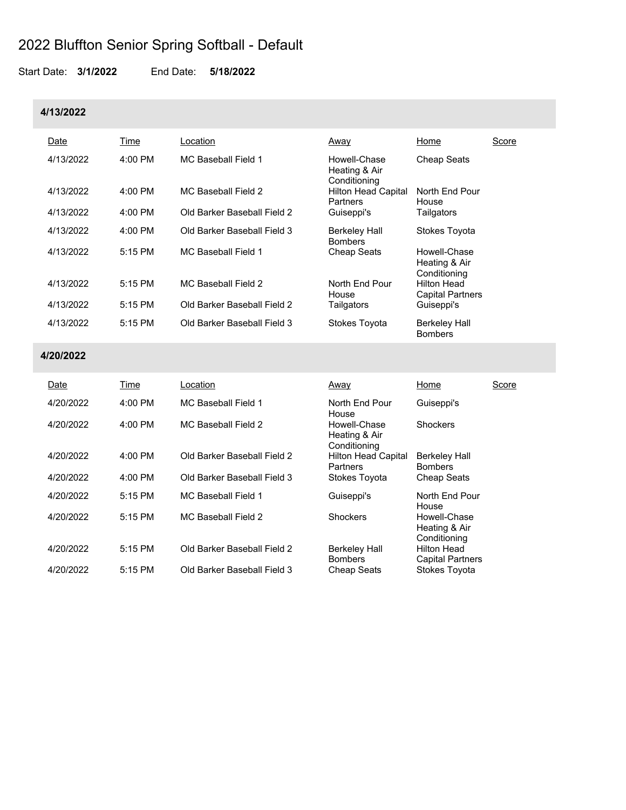Start Date: **3/1/2022** End Date: **5/18/2022**

#### **4/13/2022**

| Date      | Time      | ∟ocation                    | Away                                          | Home                                          | Score |
|-----------|-----------|-----------------------------|-----------------------------------------------|-----------------------------------------------|-------|
| 4/13/2022 | $4:00$ PM | MC Baseball Field 1         | Howell-Chase<br>Heating & Air<br>Conditioning | <b>Cheap Seats</b>                            |       |
| 4/13/2022 | $4:00$ PM | MC Baseball Field 2         | <b>Hilton Head Capital</b><br>Partners        | North End Pour<br>House                       |       |
| 4/13/2022 | $4:00$ PM | Old Barker Baseball Field 2 | Guiseppi's                                    | Tailgators                                    |       |
| 4/13/2022 | $4:00$ PM | Old Barker Baseball Field 3 | Berkeley Hall<br><b>Bombers</b>               | Stokes Toyota                                 |       |
| 4/13/2022 | $5:15$ PM | <b>MC Baseball Field 1</b>  | <b>Cheap Seats</b>                            | Howell-Chase<br>Heating & Air<br>Conditioning |       |
| 4/13/2022 | $5:15$ PM | MC Baseball Field 2         | North End Pour<br>House                       | Hilton Head<br><b>Capital Partners</b>        |       |
| 4/13/2022 | 5:15 PM   | Old Barker Baseball Field 2 | Tailgators                                    | Guiseppi's                                    |       |
| 4/13/2022 | $5:15$ PM | Old Barker Baseball Field 3 | <b>Stokes Toyota</b>                          | <b>Berkeley Hall</b><br><b>Bombers</b>        |       |

### **4/20/2022**

| Date      | Time      | Location                    | Away                                          | Home                                          | Score |
|-----------|-----------|-----------------------------|-----------------------------------------------|-----------------------------------------------|-------|
| 4/20/2022 | $4:00$ PM | MC Baseball Field 1         | North Fnd Pour<br>House                       | Guiseppi's                                    |       |
| 4/20/2022 | $4:00$ PM | MC Baseball Field 2         | Howell-Chase<br>Heating & Air<br>Conditioning | <b>Shockers</b>                               |       |
| 4/20/2022 | $4:00$ PM | Old Barker Baseball Field 2 | <b>Hilton Head Capital</b><br>Partners        | <b>Berkeley Hall</b><br><b>Bombers</b>        |       |
| 4/20/2022 | $4:00$ PM | Old Barker Baseball Field 3 | Stokes Toyota                                 | <b>Cheap Seats</b>                            |       |
| 4/20/2022 | $5:15$ PM | MC Baseball Field 1         | Guiseppi's                                    | North End Pour<br>House                       |       |
| 4/20/2022 | $5:15$ PM | MC Baseball Field 2         | Shockers                                      | Howell-Chase<br>Heating & Air<br>Conditioning |       |
| 4/20/2022 | $5:15$ PM | Old Barker Baseball Field 2 | <b>Berkeley Hall</b><br><b>Bombers</b>        | <b>Hilton Head</b><br><b>Capital Partners</b> |       |
| 4/20/2022 | $5:15$ PM | Old Barker Baseball Field 3 | <b>Cheap Seats</b>                            | Stokes Toyota                                 |       |